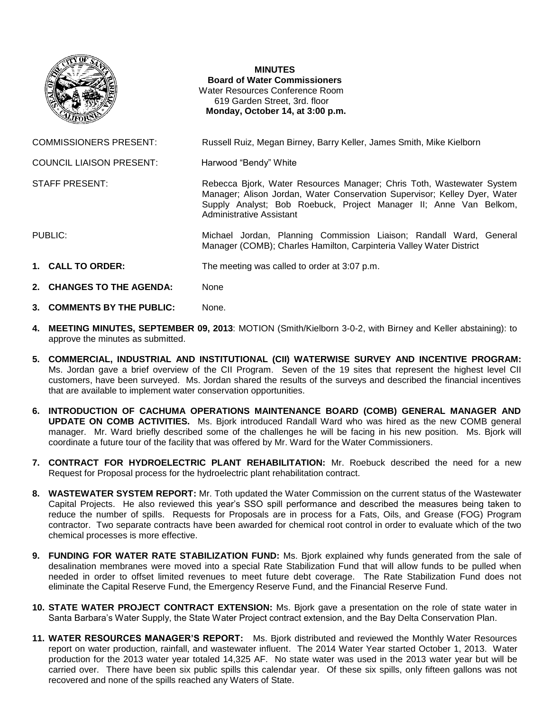

## **MINUTES**

**Board of Water Commissioners** Water Resources Conference Room 619 Garden Street, 3rd. floor **Monday, October 14, at 3:00 p.m.**

COMMISSIONERS PRESENT: Russell Ruiz, Megan Birney, Barry Keller, James Smith, Mike Kielborn

Manager; Alison Jordan, Water Conservation Supervisor; Kelley Dyer, Water Supply Analyst; Bob Roebuck, Project Manager II; Anne Van Belkom,

Manager (COMB); Charles Hamilton, Carpinteria Valley Water District

COUNCIL LIAISON PRESENT: Harwood "Bendy" White

STAFF PRESENT: Rebecca Bjork, Water Resources Manager; Chris Toth, Wastewater System

PUBLIC: Michael Jordan, Planning Commission Liaison; Randall Ward, General

**1. CALL TO ORDER:** The meeting was called to order at 3:07 p.m.

Administrative Assistant

- **2. CHANGES TO THE AGENDA:** None
- **3. COMMENTS BY THE PUBLIC:** None.
- **4. MEETING MINUTES, SEPTEMBER 09, 2013**: MOTION (Smith/Kielborn 3-0-2, with Birney and Keller abstaining): to approve the minutes as submitted.
- **5. COMMERCIAL, INDUSTRIAL AND INSTITUTIONAL (CII) WATERWISE SURVEY AND INCENTIVE PROGRAM:**  Ms. Jordan gave a brief overview of the CII Program. Seven of the 19 sites that represent the highest level CII customers, have been surveyed. Ms. Jordan shared the results of the surveys and described the financial incentives that are available to implement water conservation opportunities.
- **6. INTRODUCTION OF CACHUMA OPERATIONS MAINTENANCE BOARD (COMB) GENERAL MANAGER AND UPDATE ON COMB ACTIVITIES.** Ms. Bjork introduced Randall Ward who was hired as the new COMB general manager. Mr. Ward briefly described some of the challenges he will be facing in his new position. Ms. Bjork will coordinate a future tour of the facility that was offered by Mr. Ward for the Water Commissioners.
- **7. CONTRACT FOR HYDROELECTRIC PLANT REHABILITATION:** Mr. Roebuck described the need for a new Request for Proposal process for the hydroelectric plant rehabilitation contract.
- **8. WASTEWATER SYSTEM REPORT:** Mr. Toth updated the Water Commission on the current status of the Wastewater Capital Projects. He also reviewed this year's SSO spill performance and described the measures being taken to reduce the number of spills. Requests for Proposals are in process for a Fats, Oils, and Grease (FOG) Program contractor. Two separate contracts have been awarded for chemical root control in order to evaluate which of the two chemical processes is more effective.
- **9. FUNDING FOR WATER RATE STABILIZATION FUND:** Ms. Bjork explained why funds generated from the sale of desalination membranes were moved into a special Rate Stabilization Fund that will allow funds to be pulled when needed in order to offset limited revenues to meet future debt coverage. The Rate Stabilization Fund does not eliminate the Capital Reserve Fund, the Emergency Reserve Fund, and the Financial Reserve Fund.
- **10. STATE WATER PROJECT CONTRACT EXTENSION:** Ms. Bjork gave a presentation on the role of state water in Santa Barbara's Water Supply, the State Water Project contract extension, and the Bay Delta Conservation Plan.
- **11. WATER RESOURCES MANAGER'S REPORT:** Ms. Bjork distributed and reviewed the Monthly Water Resources report on water production, rainfall, and wastewater influent. The 2014 Water Year started October 1, 2013. Water production for the 2013 water year totaled 14,325 AF. No state water was used in the 2013 water year but will be carried over. There have been six public spills this calendar year. Of these six spills, only fifteen gallons was not recovered and none of the spills reached any Waters of State.